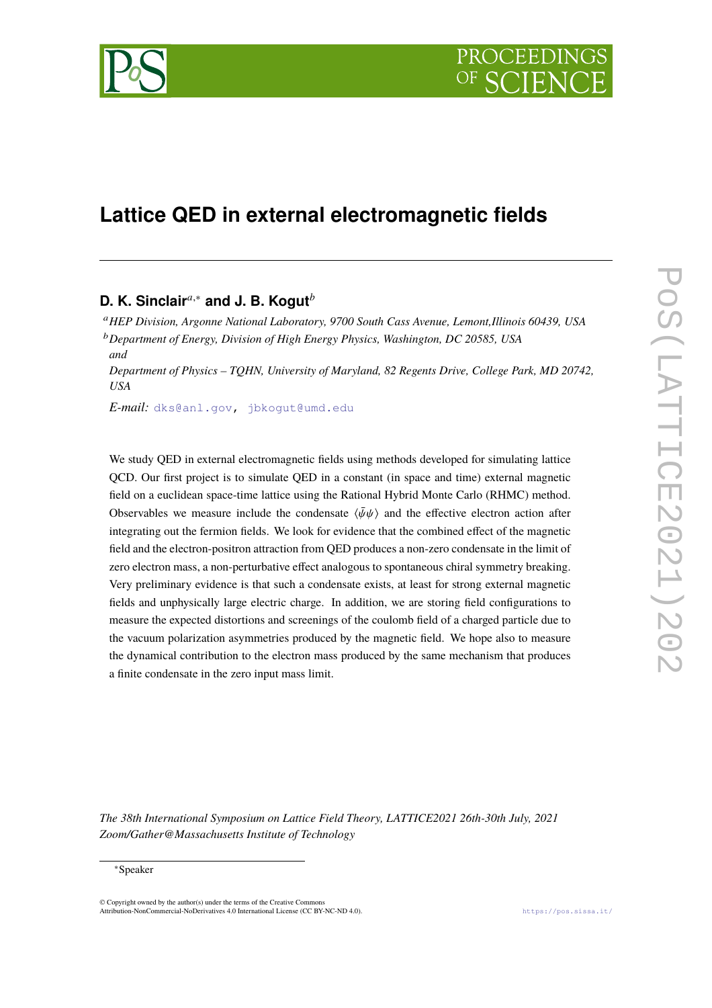

# **Lattice QED in external electromagnetic fields**

# **D. K. Sinclair**<sup>*a*,∗</sup> and J. B. Kogut<sup>*b*</sup>

<sup>𝑎</sup>*HEP Division, Argonne National Laboratory, 9700 South Cass Avenue, Lemont,Illinois 60439, USA* <sup>𝑏</sup>*Department of Energy, Division of High Energy Physics, Washington, DC 20585, USA*

*and Department of Physics – TQHN, University of Maryland, 82 Regents Drive, College Park, MD 20742, USA*

*E-mail:* [dks@anl.gov,](mailto:dks@anl.gov) [jbkogut@umd.edu](mailto:jbkogut@umd.edu)

We study QED in external electromagnetic fields using methods developed for simulating lattice QCD. Our first project is to simulate QED in a constant (in space and time) external magnetic field on a euclidean space-time lattice using the Rational Hybrid Monte Carlo (RHMC) method. Observables we measure include the condensate  $\langle \bar{\psi}\psi \rangle$  and the effective electron action after integrating out the fermion fields. We look for evidence that the combined effect of the magnetic field and the electron-positron attraction from QED produces a non-zero condensate in the limit of zero electron mass, a non-perturbative effect analogous to spontaneous chiral symmetry breaking. Very preliminary evidence is that such a condensate exists, at least for strong external magnetic fields and unphysically large electric charge. In addition, we are storing field configurations to measure the expected distortions and screenings of the coulomb field of a charged particle due to the vacuum polarization asymmetries produced by the magnetic field. We hope also to measure the dynamical contribution to the electron mass produced by the same mechanism that produces a finite condensate in the zero input mass limit.

*The 38th International Symposium on Lattice Field Theory, LATTICE2021 26th-30th July, 2021 Zoom/Gather@Massachusetts Institute of Technology*

#### ∗Speaker

© Copyright owned by the author(s) under the terms of the Creative Commons Attribution-NonCommercial-NoDerivatives 4.0 International License (CC BY-NC-ND 4.0). <https://pos.sissa.it/>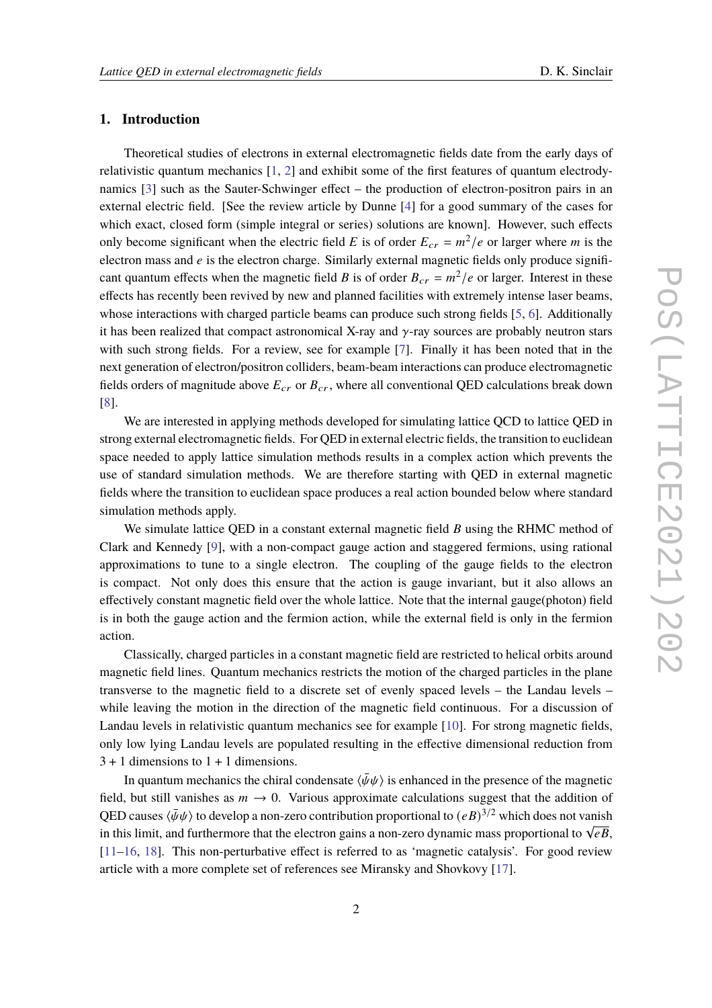#### **1. Introduction**

Theoretical studies of electrons in external electromagnetic fields date from the early days of relativistic quantum mechanics [\[1,](#page-7-0) [2](#page-7-1)] and exhibit some of the first features of quantum electrodynamics [\[3](#page-7-2)] such as the Sauter-Schwinger effect – the production of electron-positron pairs in an external electric field. [See the review article by Dunne [\[4\]](#page-7-3) for a good summary of the cases for which exact, closed form (simple integral or series) solutions are known]. However, such effects only become significant when the electric field E is of order  $E_{cr} = m^2/e$  or larger where m is the electron mass and  $e$  is the electron charge. Similarly external magnetic fields only produce significant quantum effects when the magnetic field *B* is of order  $B_{cr} = m^2/e$  or larger. Interest in these effects has recently been revived by new and planned facilities with extremely intense laser beams, whose interactions with charged particle beams can produce such strong fields [\[5](#page-7-4), [6](#page-7-5)]. Additionally it has been realized that compact astronomical X-ray and  $\gamma$ -ray sources are probably neutron stars with such strong fields. For a review, see for example [\[7\]](#page-7-6). Finally it has been noted that in the next generation of electron/positron colliders, beam-beam interactions can produce electromagnetic fields orders of magnitude above  $E_{cr}$  or  $B_{cr}$ , where all conventional QED calculations break down [\[8](#page-7-7)].

We are interested in applying methods developed for simulating lattice QCD to lattice QED in strong external electromagnetic fields. For QED in external electric fields, the transition to euclidean space needed to apply lattice simulation methods results in a complex action which prevents the use of standard simulation methods. We are therefore starting with QED in external magnetic fields where the transition to euclidean space produces a real action bounded below where standard simulation methods apply.

We simulate lattice QED in a constant external magnetic field  $B$  using the RHMC method of Clark and Kennedy [\[9\]](#page-7-8), with a non-compact gauge action and staggered fermions, using rational approximations to tune to a single electron. The coupling of the gauge fields to the electron is compact. Not only does this ensure that the action is gauge invariant, but it also allows an effectively constant magnetic field over the whole lattice. Note that the internal gauge(photon) field is in both the gauge action and the fermion action, while the external field is only in the fermion action.

Classically, charged particles in a constant magnetic field are restricted to helical orbits around magnetic field lines. Quantum mechanics restricts the motion of the charged particles in the plane transverse to the magnetic field to a discrete set of evenly spaced levels – the Landau levels – while leaving the motion in the direction of the magnetic field continuous. For a discussion of Landau levels in relativistic quantum mechanics see for example [\[10](#page-7-9)]. For strong magnetic fields, only low lying Landau levels are populated resulting in the effective dimensional reduction from  $3 + 1$  dimensions to  $1 + 1$  dimensions.

In quantum mechanics the chiral condensate  $\langle \bar{\psi}\psi \rangle$  is enhanced in the presence of the magnetic field, but still vanishes as  $m \to 0$ . Various approximate calculations suggest that the addition of QED causes  $\langle \bar{\psi}\psi \rangle$  to develop a non-zero contribution proportional to  $(eB)^{3/2}$  which does not vanish in this limit, and furthermore that the electron gains a non-zero dynamic mass proportional to  $\sqrt{eB}$ , [\[11](#page-7-10)[–16](#page-8-0), [18](#page-8-1)]. This non-perturbative effect is referred to as 'magnetic catalysis'. For good review article with a more complete set of references see Miransky and Shovkovy [\[17](#page-8-2)].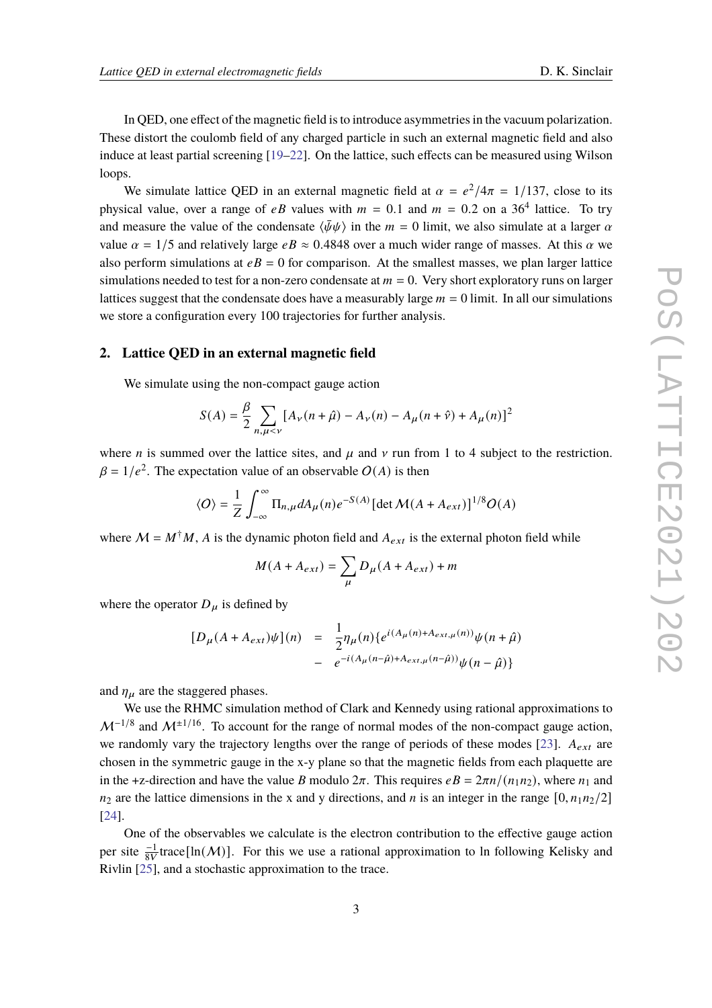In QED, one effect of the magnetic field is to introduce asymmetries in the vacuum polarization. These distort the coulomb field of any charged particle in such an external magnetic field and also induce at least partial screening [\[19](#page-8-3)[–22](#page-8-4)]. On the lattice, such effects can be measured using Wilson loops.

We simulate lattice QED in an external magnetic field at  $\alpha = e^2/4\pi = 1/137$ , close to its physical value, over a range of  $eB$  values with  $m = 0.1$  and  $m = 0.2$  on a 36<sup>4</sup> lattice. To try and measure the value of the condensate  $\langle \bar{\psi}\psi \rangle$  in the  $m = 0$  limit, we also simulate at a larger  $\alpha$ value  $\alpha = 1/5$  and relatively large  $eB \approx 0.4848$  over a much wider range of masses. At this  $\alpha$  we also perform simulations at  $eB = 0$  for comparison. At the smallest masses, we plan larger lattice simulations needed to test for a non-zero condensate at  $m = 0$ . Very short exploratory runs on larger lattices suggest that the condensate does have a measurably large  $m = 0$  limit. In all our simulations we store a configuration every 100 trajectories for further analysis.

#### **2. Lattice QED in an external magnetic field**

We simulate using the non-compact gauge action

$$
S(A) = \frac{\beta}{2} \sum_{n,\mu < \nu} \left[ A_{\nu}(n + \hat{\mu}) - A_{\nu}(n) - A_{\mu}(n + \hat{\nu}) + A_{\mu}(n) \right]^2
$$

where *n* is summed over the lattice sites, and  $\mu$  and  $\nu$  run from 1 to 4 subject to the restriction.  $\beta = 1/e^2$ . The expectation value of an observable  $O(A)$  is then

$$
\langle O \rangle = \frac{1}{Z} \int_{-\infty}^{\infty} \Pi_{n,\mu} dA_{\mu}(n) e^{-S(A)} \left[ \det \mathcal{M}(A + A_{ext}) \right]^{1/8} O(A)
$$

where  $M = M^{\dagger} M$ , A is the dynamic photon field and  $A_{ext}$  is the external photon field while

$$
M(A + A_{ext}) = \sum_{\mu} D_{\mu}(A + A_{ext}) + m
$$

where the operator  $D_{\mu}$  is defined by

$$
[D_{\mu}(A + A_{ext})\psi](n) = \frac{1}{2} \eta_{\mu}(n) \{e^{i(A_{\mu}(n) + A_{ext,\mu}(n))}\psi(n+\hat{\mu}) - e^{-i(A_{\mu}(n-\hat{\mu}) + A_{ext,\mu}(n-\hat{\mu}))}\psi(n-\hat{\mu})\}
$$

and  $\eta_{\mu}$  are the staggered phases.

We use the RHMC simulation method of Clark and Kennedy using rational approximations to  $\mathcal{M}^{-1/8}$  and  $\mathcal{M}^{\pm 1/16}$ . To account for the range of normal modes of the non-compact gauge action, we randomly vary the trajectory lengths over the range of periods of these modes [\[23](#page-8-5)].  $A_{ext}$  are chosen in the symmetric gauge in the x-y plane so that the magnetic fields from each plaquette are in the +z-direction and have the value B modulo  $2\pi$ . This requires  $eB = 2\pi n/(n_1n_2)$ , where  $n_1$  and  $n_2$  are the lattice dimensions in the x and y directions, and n is an integer in the range [0,  $n_1n_2/2$ ] [\[24\]](#page-8-6).

One of the observables we calculate is the electron contribution to the effective gauge action per site  $\frac{-1}{8V}$ trace[ln(M)]. For this we use a rational approximation to ln following Kelisky and Rivlin [\[25\]](#page-8-7), and a stochastic approximation to the trace.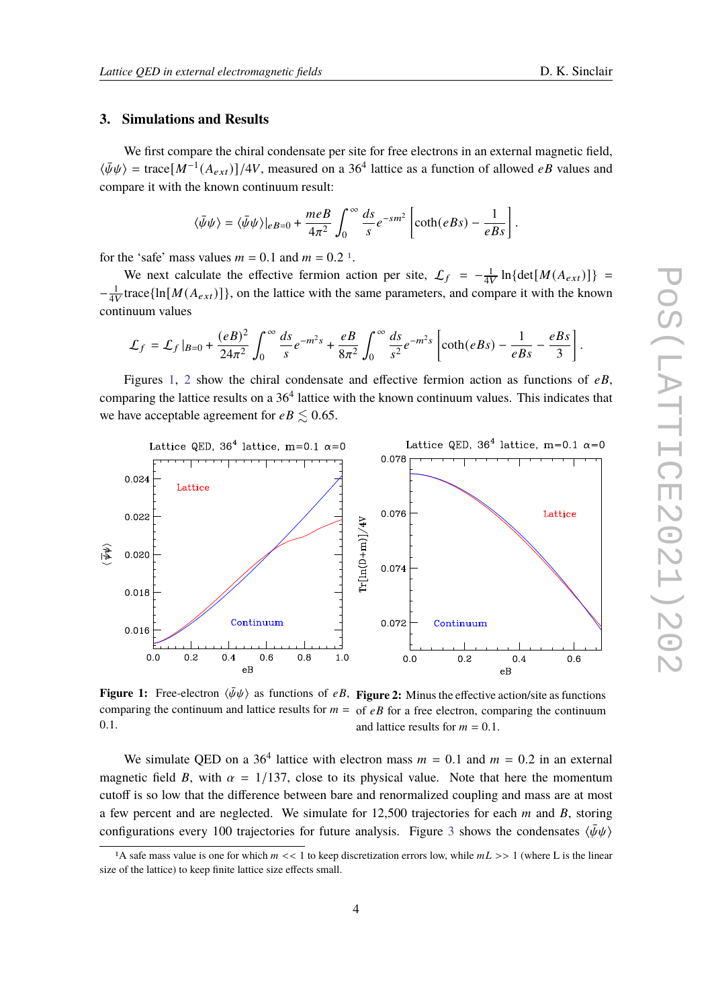#### **3. Simulations and Results**

We first compare the chiral condensate per site for free electrons in an external magnetic field,  $\langle \bar{\psi}\psi \rangle$  = trace $[M^{-1}(A_{ext})]/4V$ , measured on a 36<sup>4</sup> lattice as a function of allowed *eB* values and compare it with the known continuum result:

$$
\langle \bar{\psi}\psi \rangle = \langle \bar{\psi}\psi \rangle|_{eB=0} + \frac{meB}{4\pi^2} \int_0^\infty \frac{ds}{s} e^{-sm^2} \left[ \coth(eBs) - \frac{1}{eBs} \right].
$$

for the 'safe' mass values  $m = 0.1$  $m = 0.1$  and  $m = 0.2$ <sup>1</sup>.

We next calculate the effective fermion action per site,  $\mathcal{L}_f = -\frac{1}{4V}$  $\frac{1}{4V} \ln{\det[M(A_{ext})]}$  =  $-\frac{1}{4V}$  $\frac{1}{4V}$ trace{ln[ $M(A_{ext})$ ]}, on the lattice with the same parameters, and compare it with the known continuum values

$$
\mathcal{L}_f = \mathcal{L}_f \vert_{B=0} + \frac{(eB)^2}{24\pi^2} \int_0^\infty \frac{ds}{s} e^{-m^2 s} + \frac{eB}{8\pi^2} \int_0^\infty \frac{ds}{s^2} e^{-m^2 s} \left[ \coth(eBs) - \frac{1}{eBs} - \frac{eBs}{3} \right].
$$

Figures [1,](#page-3-1) [2](#page-3-1) show the chiral condensate and effective fermion action as functions of  $eB$ , comparing the lattice results on a  $36<sup>4</sup>$  lattice with the known continuum values. This indicates that we have acceptable agreement for  $eB \leq 0.65$ .

<span id="page-3-1"></span>

**Figure 1:** Free-electron  $\langle \bar{\psi}\psi \rangle$  as functions of  $eB$ , **Figure 2:** Minus the effective action/site as functions comparing the continuum and lattice results for  $m =$  of  $eB$  for a free electron, comparing the continuum 0.1. and lattice results for  $m = 0.1$ .

We simulate QED on a 36<sup>4</sup> lattice with electron mass  $m = 0.1$  and  $m = 0.2$  in an external magnetic field B, with  $\alpha = 1/137$ , close to its physical value. Note that here the momentum cutoff is so low that the difference between bare and renormalized coupling and mass are at most a few percent and are neglected. We simulate for  $12,500$  trajectories for each  $m$  and  $B$ , storing configurations every 100 trajectories for future analysis. Figure [3](#page-4-0) shows the condensates  $\langle \bar{\psi}\psi \rangle$ 

<span id="page-3-0"></span><sup>&</sup>lt;sup>1</sup>A safe mass value is one for which  $m \ll 1$  to keep discretization errors low, while  $mL \gg 1$  (where L is the linear size of the lattice) to keep finite lattice size effects small.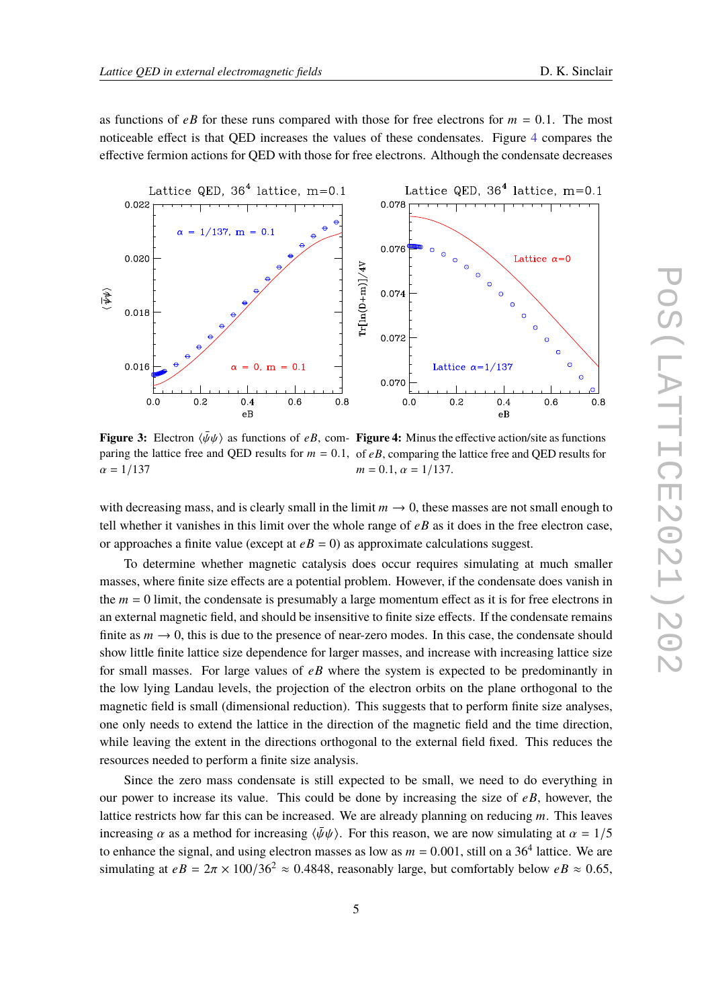as functions of  $e\bar{B}$  for these runs compared with those for free electrons for  $m = 0.1$ . The most noticeable effect is that QED increases the values of these condensates. Figure [4](#page-4-0) compares the effective fermion actions for QED with those for free electrons. Although the condensate decreases

<span id="page-4-0"></span>

**Figure 3:** Electron  $\langle \bar{\psi}\psi \rangle$  as functions of  $eB$ , com- **Figure 4:** Minus the effective action/site as functions paring the lattice free and QED results for  $m = 0.1$ , of  $eB$ , comparing the lattice free and QED results for  $\alpha = 1/137$  $m = 0.1$ ,  $\alpha = 1/137$ .

with decreasing mass, and is clearly small in the limit  $m \to 0$ , these masses are not small enough to tell whether it vanishes in this limit over the whole range of  $eB$  as it does in the free electron case, or approaches a finite value (except at  $eB = 0$ ) as approximate calculations suggest.

To determine whether magnetic catalysis does occur requires simulating at much smaller masses, where finite size effects are a potential problem. However, if the condensate does vanish in the  $m = 0$  limit, the condensate is presumably a large momentum effect as it is for free electrons in an external magnetic field, and should be insensitive to finite size effects. If the condensate remains finite as  $m \to 0$ , this is due to the presence of near-zero modes. In this case, the condensate should show little finite lattice size dependence for larger masses, and increase with increasing lattice size for small masses. For large values of  $e\bar{B}$  where the system is expected to be predominantly in the low lying Landau levels, the projection of the electron orbits on the plane orthogonal to the magnetic field is small (dimensional reduction). This suggests that to perform finite size analyses, one only needs to extend the lattice in the direction of the magnetic field and the time direction, while leaving the extent in the directions orthogonal to the external field fixed. This reduces the resources needed to perform a finite size analysis.

Since the zero mass condensate is still expected to be small, we need to do everything in our power to increase its value. This could be done by increasing the size of  $eB$ , however, the lattice restricts how far this can be increased. We are already planning on reducing  $m$ . This leaves increasing  $\alpha$  as a method for increasing  $\langle \bar{\psi}\psi \rangle$ . For this reason, we are now simulating at  $\alpha = 1/5$ to enhance the signal, and using electron masses as low as  $m = 0.001$ , still on a 36<sup>4</sup> lattice. We are simulating at  $eB = 2\pi \times 100/36^2 \approx 0.4848$ , reasonably large, but comfortably below  $eB \approx 0.65$ ,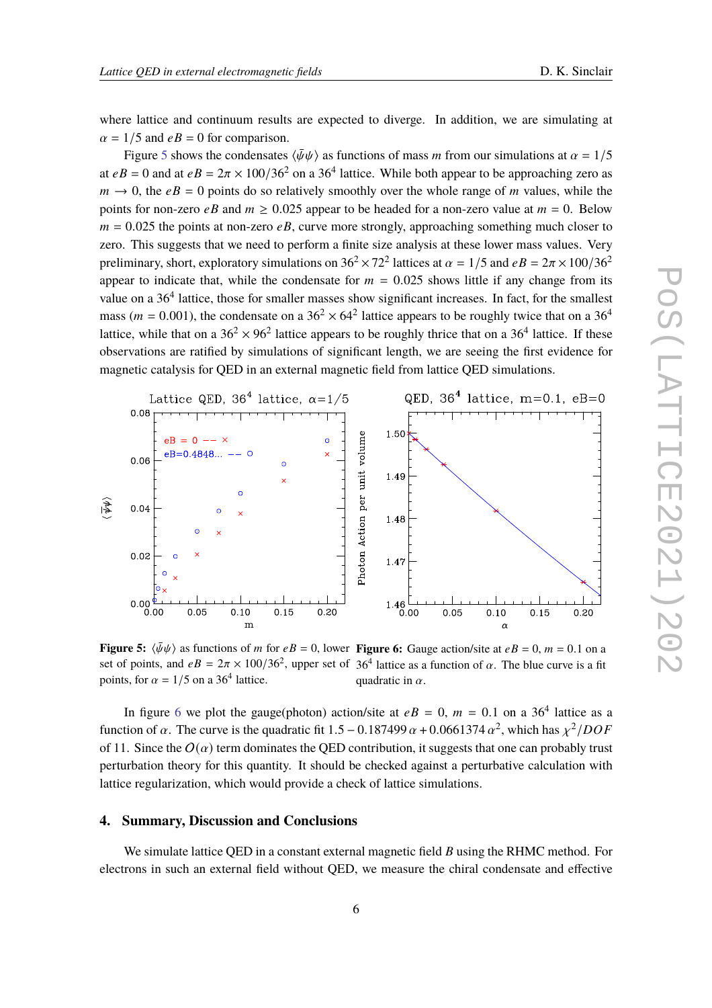where lattice and continuum results are expected to diverge. In addition, we are simulating at  $\alpha = 1/5$  and  $eB = 0$  for comparison.

Figure [5](#page-5-0) shows the condensates  $\langle \bar{\psi}\psi \rangle$  as functions of mass *m* from our simulations at  $\alpha = 1/5$ at  $eB = 0$  and at  $eB = 2\pi \times 100/36^2$  on a 36<sup>4</sup> lattice. While both appear to be approaching zero as  $m \rightarrow 0$ , the  $eB = 0$  points do so relatively smoothly over the whole range of m values, while the points for non-zero  $eB$  and  $m \ge 0.025$  appear to be headed for a non-zero value at  $m = 0$ . Below  $m = 0.025$  the points at non-zero eB, curve more strongly, approaching something much closer to zero. This suggests that we need to perform a finite size analysis at these lower mass values. Very preliminary, short, exploratory simulations on  $36^2 \times 72^2$  lattices at  $\alpha = 1/5$  and  $eB = 2\pi \times 100/36^2$ appear to indicate that, while the condensate for  $m = 0.025$  shows little if any change from its value on a 36<sup>4</sup> lattice, those for smaller masses show significant increases. In fact, for the smallest mass ( $m = 0.001$ ), the condensate on a  $36<sup>2</sup> \times 64<sup>2</sup>$  lattice appears to be roughly twice that on a  $36<sup>4</sup>$ lattice, while that on a  $36^2 \times 96^2$  lattice appears to be roughly thrice that on a  $36^4$  lattice. If these observations are ratified by simulations of significant length, we are seeing the first evidence for magnetic catalysis for QED in an external magnetic field from lattice QED simulations.

<span id="page-5-0"></span>

**Figure 5:**  $\langle \bar{\psi}\psi \rangle$  as functions of *m* for  $eB = 0$ , lower **Figure 6:** Gauge action/site at  $eB = 0$ ,  $m = 0.1$  on a set of points, and  $eB = 2\pi \times 100/36^2$ , upper set of 36<sup>4</sup> lattice as a function of  $\alpha$ . The blue curve is a fit points, for  $\alpha = 1/5$  on a 36<sup>4</sup> lattice. quadratic in  $\alpha$ .

In figure [6](#page-5-0) we plot the gauge(photon) action/site at  $eB = 0$ ,  $m = 0.1$  on a 36<sup>4</sup> lattice as a function of  $\alpha$ . The curve is the quadratic fit  $1.5 - 0.187499 \alpha + 0.0661374 \alpha^2$ , which has  $\chi^2 /DOF$ of 11. Since the  $O(\alpha)$  term dominates the QED contribution, it suggests that one can probably trust perturbation theory for this quantity. It should be checked against a perturbative calculation with lattice regularization, which would provide a check of lattice simulations.

#### **4. Summary, Discussion and Conclusions**

We simulate lattice QED in a constant external magnetic field  $B$  using the RHMC method. For electrons in such an external field without QED, we measure the chiral condensate and effective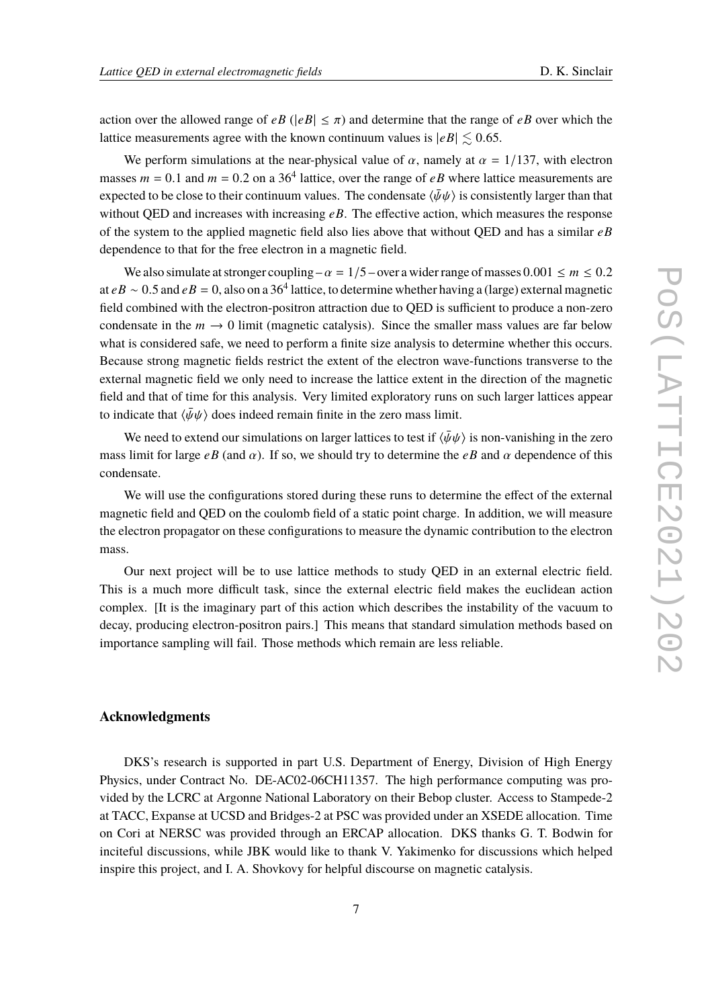action over the allowed range of  $eB$  ( $|eB| \leq \pi$ ) and determine that the range of  $eB$  over which the lattice measurements agree with the known continuum values is  $|eB| \leq 0.65$ .

We perform simulations at the near-physical value of  $\alpha$ , namely at  $\alpha = 1/137$ , with electron masses  $m = 0.1$  and  $m = 0.2$  on a 36<sup>4</sup> lattice, over the range of  $eB$  where lattice measurements are expected to be close to their continuum values. The condensate  $\langle \bar{\psi}\psi \rangle$  is consistently larger than that without QED and increases with increasing  $e\hat{B}$ . The effective action, which measures the response of the system to the applied magnetic field also lies above that without QED and has a similar  $e\bar{B}$ dependence to that for the free electron in a magnetic field.

We also simulate at stronger coupling –  $\alpha = 1/5$  – over a wider range of masses 0.001  $\leq m \leq 0.2$ at  $eB \sim 0.5$  and  $eB = 0$ , also on a 36<sup>4</sup> lattice, to determine whether having a (large) external magnetic field combined with the electron-positron attraction due to QED is sufficient to produce a non-zero condensate in the  $m \to 0$  limit (magnetic catalysis). Since the smaller mass values are far below what is considered safe, we need to perform a finite size analysis to determine whether this occurs. Because strong magnetic fields restrict the extent of the electron wave-functions transverse to the external magnetic field we only need to increase the lattice extent in the direction of the magnetic field and that of time for this analysis. Very limited exploratory runs on such larger lattices appear to indicate that  $\langle \bar{\psi}\psi \rangle$  does indeed remain finite in the zero mass limit.

We need to extend our simulations on larger lattices to test if  $\langle \bar{\psi}\psi \rangle$  is non-vanishing in the zero mass limit for large  $e\bar{B}$  (and  $\alpha$ ). If so, we should try to determine the  $e\bar{B}$  and  $\alpha$  dependence of this condensate.

We will use the configurations stored during these runs to determine the effect of the external magnetic field and QED on the coulomb field of a static point charge. In addition, we will measure the electron propagator on these configurations to measure the dynamic contribution to the electron mass.

Our next project will be to use lattice methods to study QED in an external electric field. This is a much more difficult task, since the external electric field makes the euclidean action complex. [It is the imaginary part of this action which describes the instability of the vacuum to decay, producing electron-positron pairs.] This means that standard simulation methods based on importance sampling will fail. Those methods which remain are less reliable.

## **Acknowledgments**

DKS's research is supported in part U.S. Department of Energy, Division of High Energy Physics, under Contract No. DE-AC02-06CH11357. The high performance computing was provided by the LCRC at Argonne National Laboratory on their Bebop cluster. Access to Stampede-2 at TACC, Expanse at UCSD and Bridges-2 at PSC was provided under an XSEDE allocation. Time on Cori at NERSC was provided through an ERCAP allocation. DKS thanks G. T. Bodwin for inciteful discussions, while JBK would like to thank V. Yakimenko for discussions which helped inspire this project, and I. A. Shovkovy for helpful discourse on magnetic catalysis.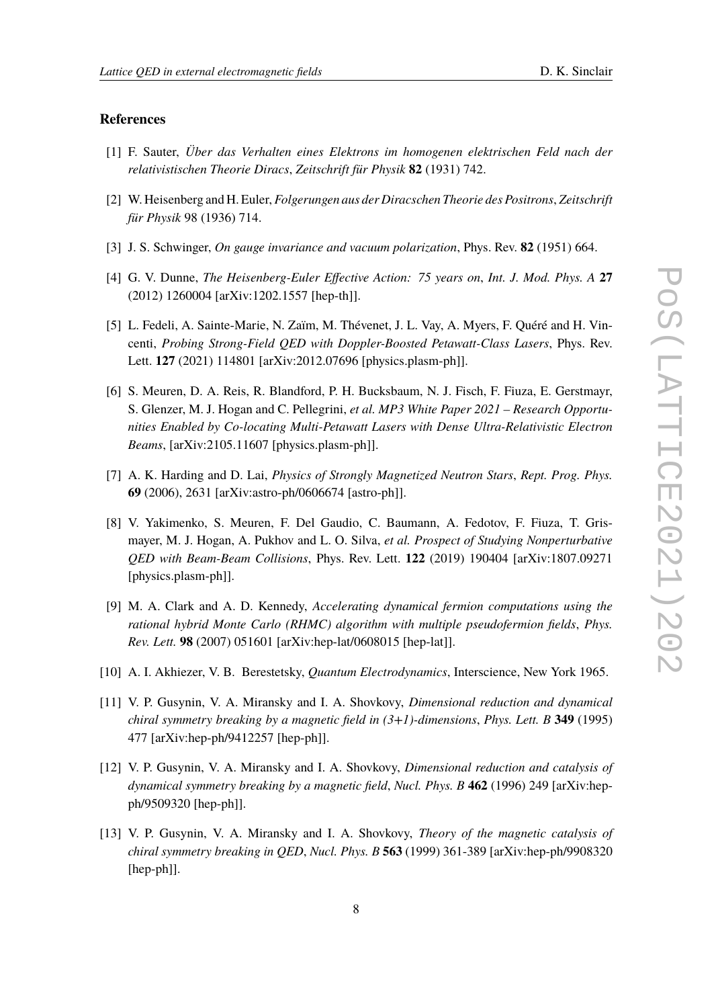## **References**

- <span id="page-7-0"></span>[1] F. Sauter, *Über das Verhalten eines Elektrons im homogenen elektrischen Feld nach der relativistischen Theorie Diracs*, *Zeitschrift für Physik* **82** (1931) 742.
- <span id="page-7-1"></span>[2] W. Heisenberg and H. Euler, *Folgerungen aus der Diracschen Theorie des Positrons*, *Zeitschrift für Physik* 98 (1936) 714.
- <span id="page-7-2"></span>[3] J. S. Schwinger, *On gauge invariance and vacuum polarization*, Phys. Rev. **82** (1951) 664.
- <span id="page-7-3"></span>[4] G. V. Dunne, *The Heisenberg-Euler Effective Action: 75 years on*, *Int. J. Mod. Phys. A* **27** (2012) 1260004 [arXiv:1202.1557 [hep-th]].
- <span id="page-7-4"></span>[5] L. Fedeli, A. Sainte-Marie, N. Zaïm, M. Thévenet, J. L. Vay, A. Myers, F. Quéré and H. Vincenti, *Probing Strong-Field QED with Doppler-Boosted Petawatt-Class Lasers*, Phys. Rev. Lett. **127** (2021) 114801 [arXiv:2012.07696 [physics.plasm-ph]].
- <span id="page-7-5"></span>[6] S. Meuren, D. A. Reis, R. Blandford, P. H. Bucksbaum, N. J. Fisch, F. Fiuza, E. Gerstmayr, S. Glenzer, M. J. Hogan and C. Pellegrini, *et al. MP3 White Paper 2021 – Research Opportunities Enabled by Co-locating Multi-Petawatt Lasers with Dense Ultra-Relativistic Electron Beams*, [arXiv:2105.11607 [physics.plasm-ph]].
- <span id="page-7-6"></span>[7] A. K. Harding and D. Lai, *Physics of Strongly Magnetized Neutron Stars*, *Rept. Prog. Phys.* **69** (2006), 2631 [arXiv:astro-ph/0606674 [astro-ph]].
- <span id="page-7-7"></span>[8] V. Yakimenko, S. Meuren, F. Del Gaudio, C. Baumann, A. Fedotov, F. Fiuza, T. Grismayer, M. J. Hogan, A. Pukhov and L. O. Silva, *et al. Prospect of Studying Nonperturbative QED with Beam-Beam Collisions*, Phys. Rev. Lett. **122** (2019) 190404 [arXiv:1807.09271 [physics.plasm-ph]].
- <span id="page-7-8"></span>[9] M. A. Clark and A. D. Kennedy, *Accelerating dynamical fermion computations using the rational hybrid Monte Carlo (RHMC) algorithm with multiple pseudofermion fields*, *Phys. Rev. Lett.* **98** (2007) 051601 [arXiv:hep-lat/0608015 [hep-lat]].
- <span id="page-7-9"></span>[10] A. I. Akhiezer, V. B. Berestetsky, *Quantum Electrodynamics*, Interscience, New York 1965.
- <span id="page-7-10"></span>[11] V. P. Gusynin, V. A. Miransky and I. A. Shovkovy, *Dimensional reduction and dynamical chiral symmetry breaking by a magnetic field in (3+1)-dimensions*, *Phys. Lett. B* **349** (1995) 477 [arXiv:hep-ph/9412257 [hep-ph]].
- [12] V. P. Gusynin, V. A. Miransky and I. A. Shovkovy, *Dimensional reduction and catalysis of dynamical symmetry breaking by a magnetic field*, *Nucl. Phys. B* **462** (1996) 249 [arXiv:hepph/9509320 [hep-ph]].
- [13] V. P. Gusynin, V. A. Miransky and I. A. Shovkovy, *Theory of the magnetic catalysis of chiral symmetry breaking in QED*, *Nucl. Phys. B* **563** (1999) 361-389 [arXiv:hep-ph/9908320 [hep-ph]].